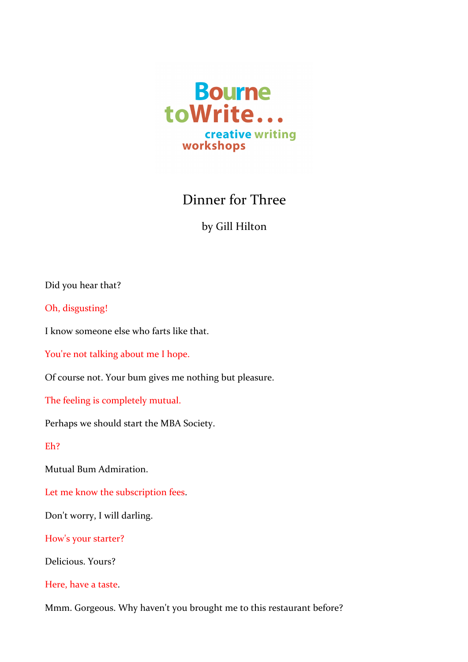

# Dinner for Three

# by Gill Hilton

Did you hear that?

Oh, disgusting!

I know someone else who farts like that.

You're not talking about me I hope.

Of course not. Your bum gives me nothing but pleasure.

The feeling is completely mutual.

Perhaps we should start the MBA Society.

Eh?

Mutual Bum Admiration.

Let me know the subscription fees.

Don't worry, I will darling.

How's your starter?

Delicious. Yours?

Here, have a taste.

Mmm. Gorgeous. Why haven't you brought me to this restaurant before?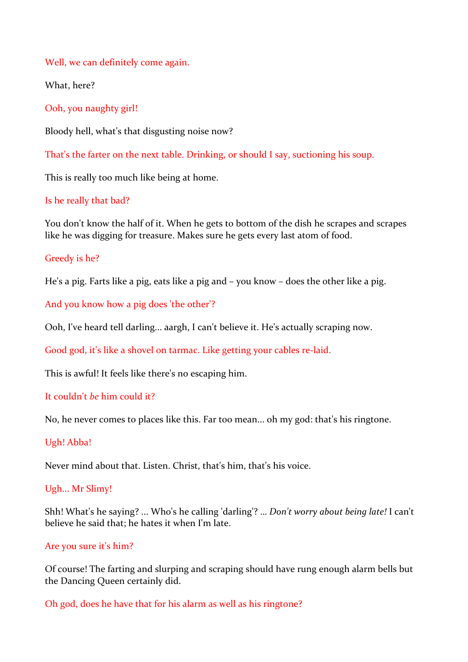Well, we can definitely come again.

What, here?

Ooh, you naughty girl!

Bloody hell, what's that disgusting noise now?

That's the farter on the next table. Drinking, or should I say, suctioning his soup.

This is really too much like being at home.

#### Is he really that bad?

You don't know the half of it. When he gets to bottom of the dish he scrapes and scrapes like he was digging for treasure. Makes sure he gets every last atom of food.

#### Greedy is he?

He's a pig. Farts like a pig, eats like a pig and  $-$  you know  $-$  does the other like a pig.

And you know how a pig does 'the other'?

Ooh, I've heard tell darling... aargh, I can't believe it. He's actually scraping now.

Good god, it's like a shovel on tarmac. Like getting your cables re-laid.

This is awful! It feels like there's no escaping him.

#### It couldn't *be* him could it?

No, he never comes to places like this. Far too mean... oh my god: that's his ringtone.

## Ugh! Abba!

Never mind about that. Listen. Christ, that's him, that's his voice.

#### Ugh... Mr Slimy!

Shh! What's he saying? ... Who's he calling 'darling'? ... *Don't worry about being late!* I can't believe he said that; he hates it when  $\Gamma$ m late

#### Are you sure it's him?

Of course! The farting and slurping and scraping should have rung enough alarm bells but the Dancing Queen certainly did.

## Oh god, does he have that for his alarm as well as his ringtone?